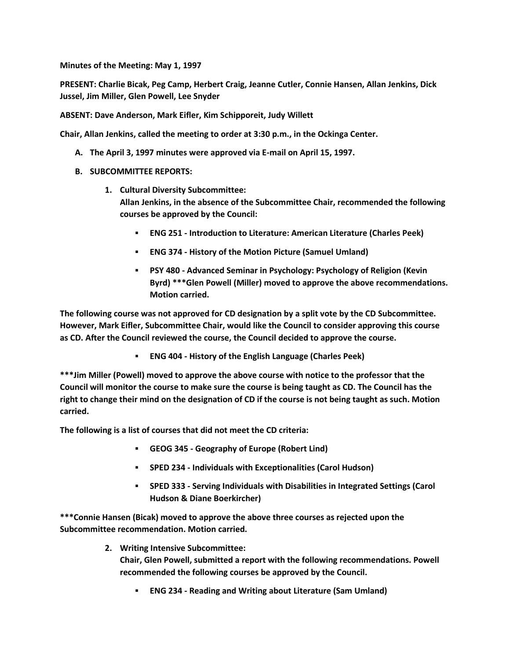**Minutes of the Meeting: May 1, 1997**

**PRESENT: Charlie Bicak, Peg Camp, Herbert Craig, Jeanne Cutler, Connie Hansen, Allan Jenkins, Dick Jussel, Jim Miller, Glen Powell, Lee Snyder**

**ABSENT: Dave Anderson, Mark Eifler, Kim Schipporeit, Judy Willett**

**Chair, Allan Jenkins, called the meeting to order at 3:30 p.m., in the Ockinga Center.**

- **A. The April 3, 1997 minutes were approved via E-mail on April 15, 1997.**
- **B. SUBCOMMITTEE REPORTS:**
	- **1. Cultural Diversity Subcommittee: Allan Jenkins, in the absence of the Subcommittee Chair, recommended the following courses be approved by the Council:** 
		- **ENG 251 - Introduction to Literature: American Literature (Charles Peek)**
		- **ENG 374 - History of the Motion Picture (Samuel Umland)**
		- **PSY 480 - Advanced Seminar in Psychology: Psychology of Religion (Kevin Byrd) \*\*\*Glen Powell (Miller) moved to approve the above recommendations. Motion carried.**

**The following course was not approved for CD designation by a split vote by the CD Subcommittee. However, Mark Eifler, Subcommittee Chair, would like the Council to consider approving this course as CD. After the Council reviewed the course, the Council decided to approve the course.**

**ENG 404 - History of the English Language (Charles Peek)**

**\*\*\*Jim Miller (Powell) moved to approve the above course with notice to the professor that the Council will monitor the course to make sure the course is being taught as CD. The Council has the right to change their mind on the designation of CD if the course is not being taught as such. Motion carried.** 

**The following is a list of courses that did not meet the CD criteria:**

- **GEOG 345 - Geography of Europe (Robert Lind)**
- **SPED 234 - Individuals with Exceptionalities (Carol Hudson)**
- **SPED 333 - Serving Individuals with Disabilities in Integrated Settings (Carol Hudson & Diane Boerkircher)**

**\*\*\*Connie Hansen (Bicak) moved to approve the above three courses as rejected upon the Subcommittee recommendation. Motion carried.**

**2. Writing Intensive Subcommittee:**

**Chair, Glen Powell, submitted a report with the following recommendations. Powell recommended the following courses be approved by the Council.** 

**ENG 234 - Reading and Writing about Literature (Sam Umland)**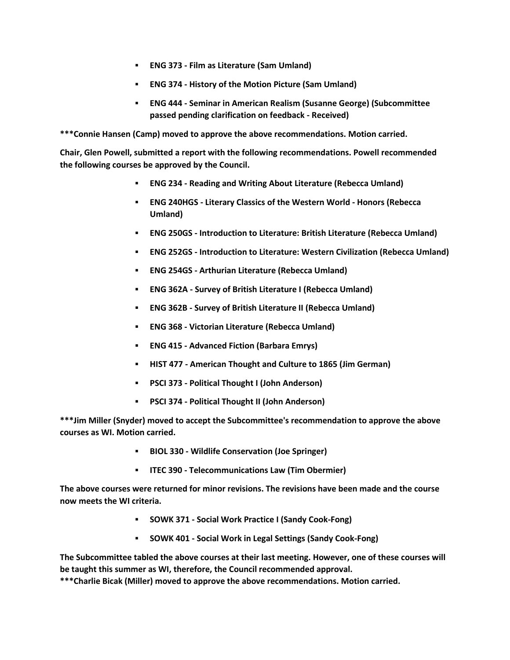- **ENG 373 - Film as Literature (Sam Umland)**
- **ENG 374 - History of the Motion Picture (Sam Umland)**
- **ENG 444 - Seminar in American Realism (Susanne George) (Subcommittee passed pending clarification on feedback - Received)**

**\*\*\*Connie Hansen (Camp) moved to approve the above recommendations. Motion carried.** 

**Chair, Glen Powell, submitted a report with the following recommendations. Powell recommended the following courses be approved by the Council.**

- **ENG 234 - Reading and Writing About Literature (Rebecca Umland)**
- **ENG 240HGS - Literary Classics of the Western World - Honors (Rebecca Umland)**
- **ENG 250GS - Introduction to Literature: British Literature (Rebecca Umland)**
- **ENG 252GS - Introduction to Literature: Western Civilization (Rebecca Umland)**
- **ENG 254GS - Arthurian Literature (Rebecca Umland)**
- **ENG 362A - Survey of British Literature I (Rebecca Umland)**
- **ENG 362B - Survey of British Literature II (Rebecca Umland)**
- **ENG 368 - Victorian Literature (Rebecca Umland)**
- **ENG 415 - Advanced Fiction (Barbara Emrys)**
- **HIST 477 - American Thought and Culture to 1865 (Jim German)**
- **PSCI 373 - Political Thought I (John Anderson)**
- **PSCI 374 - Political Thought II (John Anderson)**

**\*\*\*Jim Miller (Snyder) moved to accept the Subcommittee's recommendation to approve the above courses as WI. Motion carried.** 

- **BIOL 330 - Wildlife Conservation (Joe Springer)**
- **ITEC 390 - Telecommunications Law (Tim Obermier)**

**The above courses were returned for minor revisions. The revisions have been made and the course now meets the WI criteria.** 

- **SOWK 371 - Social Work Practice I (Sandy Cook-Fong)**
- **SOWK 401 - Social Work in Legal Settings (Sandy Cook-Fong)**

**The Subcommittee tabled the above courses at their last meeting. However, one of these courses will be taught this summer as WI, therefore, the Council recommended approval.**

**\*\*\*Charlie Bicak (Miller) moved to approve the above recommendations. Motion carried.**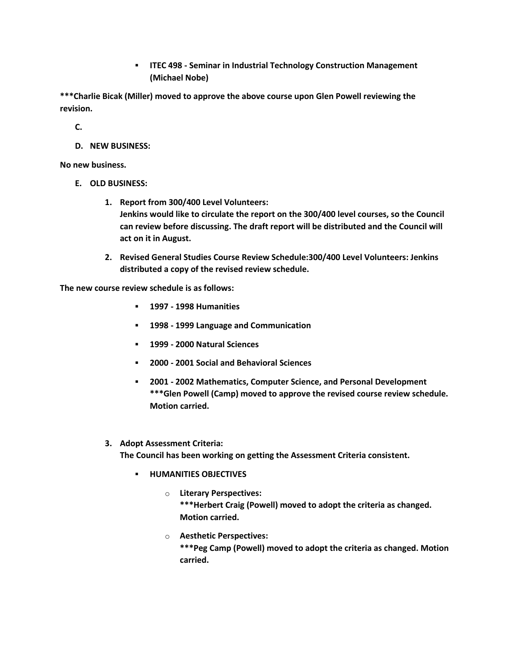**ITEC 498 - Seminar in Industrial Technology Construction Management (Michael Nobe)**

**\*\*\*Charlie Bicak (Miller) moved to approve the above course upon Glen Powell reviewing the revision.**

**C.**

**D. NEW BUSINESS:**

**No new business.**

- **E. OLD BUSINESS:**
	- **1. Report from 300/400 Level Volunteers: Jenkins would like to circulate the report on the 300/400 level courses, so the Council can review before discussing. The draft report will be distributed and the Council will act on it in August.**
	- **2. Revised General Studies Course Review Schedule:300/400 Level Volunteers: Jenkins distributed a copy of the revised review schedule.**

**The new course review schedule is as follows:**

- **1997 - 1998 Humanities**
- **1998 - 1999 Language and Communication**
- **1999 - 2000 Natural Sciences**
- **2000 - 2001 Social and Behavioral Sciences**
- **2001 - 2002 Mathematics, Computer Science, and Personal Development \*\*\*Glen Powell (Camp) moved to approve the revised course review schedule. Motion carried.**

## **3. Adopt Assessment Criteria:**

**The Council has been working on getting the Assessment Criteria consistent.** 

- **E** HUMANITIES OBJECTIVES
	- o **Literary Perspectives: \*\*\*Herbert Craig (Powell) moved to adopt the criteria as changed. Motion carried.**
	- o **Aesthetic Perspectives: \*\*\*Peg Camp (Powell) moved to adopt the criteria as changed. Motion carried.**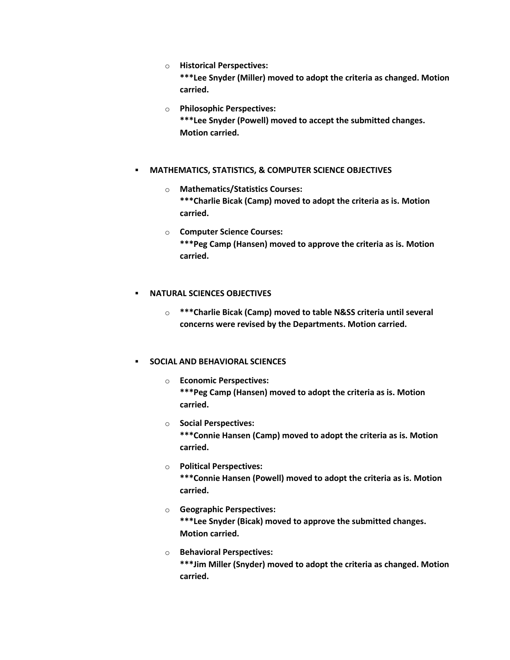- o **Historical Perspectives: \*\*\*Lee Snyder (Miller) moved to adopt the criteria as changed. Motion carried.**
- o **Philosophic Perspectives: \*\*\*Lee Snyder (Powell) moved to accept the submitted changes. Motion carried.**

## **MATHEMATICS, STATISTICS, & COMPUTER SCIENCE OBJECTIVES**

- o **Mathematics/Statistics Courses: \*\*\*Charlie Bicak (Camp) moved to adopt the criteria as is. Motion carried.**
- o **Computer Science Courses: \*\*\*Peg Camp (Hansen) moved to approve the criteria as is. Motion carried.**

## **NATURAL SCIENCES OBJECTIVES**

o **\*\*\*Charlie Bicak (Camp) moved to table N&SS criteria until several concerns were revised by the Departments. Motion carried.**

## **SOCIAL AND BEHAVIORAL SCIENCES**

- o **Economic Perspectives: \*\*\*Peg Camp (Hansen) moved to adopt the criteria as is. Motion carried.**
- o **Social Perspectives: \*\*\*Connie Hansen (Camp) moved to adopt the criteria as is. Motion carried.**
- o **Political Perspectives: \*\*\*Connie Hansen (Powell) moved to adopt the criteria as is. Motion carried.**
- o **Geographic Perspectives: \*\*\*Lee Snyder (Bicak) moved to approve the submitted changes. Motion carried.**
- o **Behavioral Perspectives: \*\*\*Jim Miller (Snyder) moved to adopt the criteria as changed. Motion carried.**